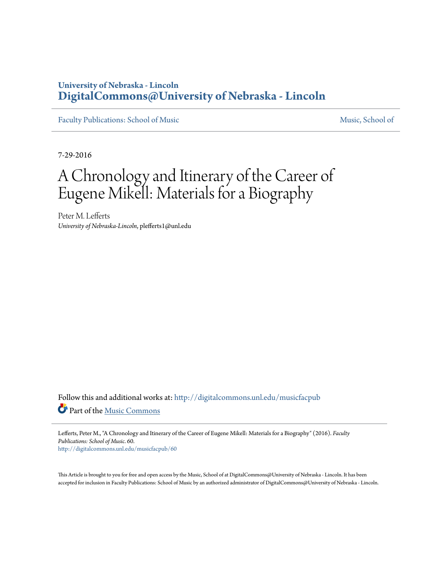## **University of Nebraska - Lincoln [DigitalCommons@University of Nebraska - Lincoln](http://digitalcommons.unl.edu?utm_source=digitalcommons.unl.edu%2Fmusicfacpub%2F60&utm_medium=PDF&utm_campaign=PDFCoverPages)**

[Faculty Publications: School of Music](http://digitalcommons.unl.edu/musicfacpub?utm_source=digitalcommons.unl.edu%2Fmusicfacpub%2F60&utm_medium=PDF&utm_campaign=PDFCoverPages) Music [Music, School of](http://digitalcommons.unl.edu/music?utm_source=digitalcommons.unl.edu%2Fmusicfacpub%2F60&utm_medium=PDF&utm_campaign=PDFCoverPages)

7-29-2016

# A Chronology and Itinerary of the Career of Eugene Mikell: Materials for a Biography

Peter M. Lefferts *University of Nebraska-Lincoln*, plefferts1@unl.edu

Follow this and additional works at: [http://digitalcommons.unl.edu/musicfacpub](http://digitalcommons.unl.edu/musicfacpub?utm_source=digitalcommons.unl.edu%2Fmusicfacpub%2F60&utm_medium=PDF&utm_campaign=PDFCoverPages) Part of the [Music Commons](http://network.bepress.com/hgg/discipline/518?utm_source=digitalcommons.unl.edu%2Fmusicfacpub%2F60&utm_medium=PDF&utm_campaign=PDFCoverPages)

Lefferts, Peter M., "A Chronology and Itinerary of the Career of Eugene Mikell: Materials for a Biography" (2016). *Faculty Publications: School of Music*. 60. [http://digitalcommons.unl.edu/musicfacpub/60](http://digitalcommons.unl.edu/musicfacpub/60?utm_source=digitalcommons.unl.edu%2Fmusicfacpub%2F60&utm_medium=PDF&utm_campaign=PDFCoverPages)

This Article is brought to you for free and open access by the Music, School of at DigitalCommons@University of Nebraska - Lincoln. It has been accepted for inclusion in Faculty Publications: School of Music by an authorized administrator of DigitalCommons@University of Nebraska - Lincoln.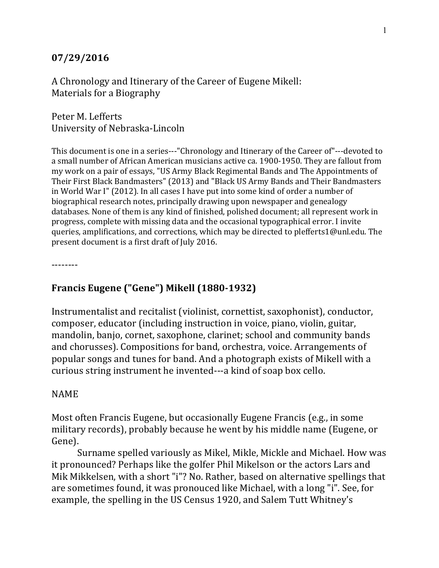#### **07/29/2016**

A Chronology and Itinerary of the Career of Eugene Mikell: Materials for a Biography

Peter M. Lefferts University of Nebraska-Lincoln

This document is one in a series---"Chronology and Itinerary of the Career of"---devoted to a small number of African American musicians active ca. 1900-1950. They are fallout from my work on a pair of essays, "US Army Black Regimental Bands and The Appointments of Their First Black Bandmasters" (2013) and "Black US Army Bands and Their Bandmasters in World War I" (2012). In all cases I have put into some kind of order a number of biographical research notes, principally drawing upon newspaper and genealogy databases. None of them is any kind of finished, polished document; all represent work in progress, complete with missing data and the occasional typographical error. I invite queries, amplifications, and corrections, which may be directed to plefferts1@unl.edu. The present document is a first draft of July 2016.

--------

## **Francis Eugene ("Gene") Mikell (1880-1932)**

Instrumentalist and recitalist (violinist, cornettist, saxophonist), conductor, composer, educator (including instruction in voice, piano, violin, guitar, mandolin, banjo, cornet, saxophone, clarinet; school and community bands and chorusses). Compositions for band, orchestra, voice. Arrangements of popular songs and tunes for band. And a photograph exists of Mikell with a curious string instrument he invented---a kind of soap box cello.

#### NAME

Most often Francis Eugene, but occasionally Eugene Francis (e.g., in some military records), probably because he went by his middle name (Eugene, or Gene).

Surname spelled variously as Mikel, Mikle, Mickle and Michael. How was it pronounced? Perhaps like the golfer Phil Mikelson or the actors Lars and Mik Mikkelsen, with a short "i"? No. Rather, based on alternative spellings that are sometimes found, it was pronouced like Michael, with a long "i". See, for example, the spelling in the US Census 1920, and Salem Tutt Whitney's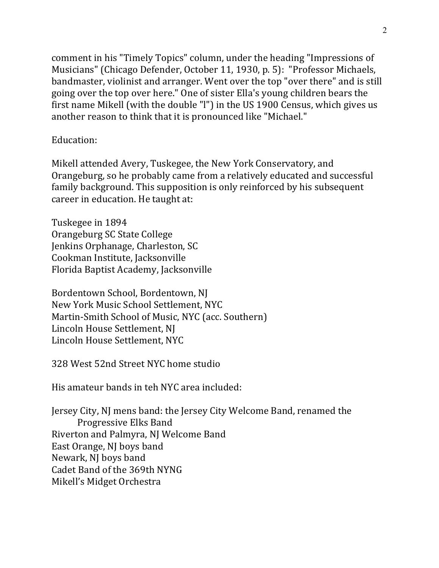comment in his "Timely Topics" column, under the heading "Impressions of Musicians" (Chicago Defender, October 11, 1930, p. 5): "Professor Michaels, bandmaster, violinist and arranger. Went over the top "over there" and is still going over the top over here." One of sister Ella's young children bears the first name Mikell (with the double "l") in the US 1900 Census, which gives us another reason to think that it is pronounced like "Michael."

## Education:

Mikell attended Avery, Tuskegee, the New York Conservatory, and Orangeburg, so he probably came from a relatively educated and successful family background. This supposition is only reinforced by his subsequent career in education. He taught at:

Tuskegee in 1894 Orangeburg SC State College Jenkins Orphanage, Charleston, SC Cookman Institute, Jacksonville Florida Baptist Academy, Jacksonville

Bordentown School, Bordentown, NJ New York Music School Settlement, NYC Martin-Smith School of Music, NYC (acc. Southern) Lincoln House Settlement, NJ Lincoln House Settlement, NYC

328 West 52nd Street NYC home studio

His amateur bands in teh NYC area included:

Jersey City, NJ mens band: the Jersey City Welcome Band, renamed the Progressive Elks Band Riverton and Palmyra, NJ Welcome Band East Orange, NJ boys band Newark, NJ boys band Cadet Band of the 369th NYNG Mikell's Midget Orchestra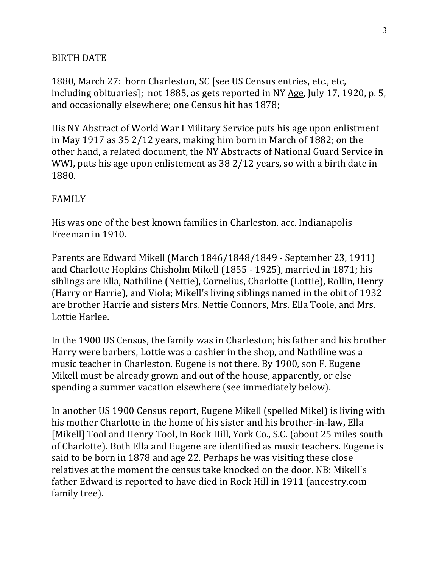## **BIRTH DATE**

1880, March 27: born Charleston, SC [see US Census entries, etc., etc. including obituaries]; not 1885, as gets reported in NY  $\overline{Age}$ , July 17, 1920, p. 5, and occasionally elsewhere; one Census hit has 1878;

His NY Abstract of World War I Military Service puts his age upon enlistment in May 1917 as  $35\frac{2}{12}$  years, making him born in March of 1882; on the other hand, a related document, the NY Abstracts of National Guard Service in WWI, puts his age upon enlistement as  $38\frac{2}{12}$  years, so with a birth date in 1880.

## FAMILY

His was one of the best known families in Charleston. acc. Indianapolis Freeman in 1910.

Parents are Edward Mikell (March 1846/1848/1849 - September 23, 1911) and Charlotte Hopkins Chisholm Mikell (1855 - 1925), married in 1871; his siblings are Ella, Nathiline (Nettie), Cornelius, Charlotte (Lottie), Rollin, Henry (Harry or Harrie), and Viola; Mikell's living siblings named in the obit of 1932 are brother Harrie and sisters Mrs. Nettie Connors, Mrs. Ella Toole, and Mrs. Lottie Harlee.

In the 1900 US Census, the family was in Charleston; his father and his brother Harry were barbers, Lottie was a cashier in the shop, and Nathiline was a music teacher in Charleston. Eugene is not there. By 1900, son F. Eugene Mikell must be already grown and out of the house, apparently, or else spending a summer vacation elsewhere (see immediately below).

In another US 1900 Census report, Eugene Mikell (spelled Mikel) is living with his mother Charlotte in the home of his sister and his brother-in-law, Ella [Mikell] Tool and Henry Tool, in Rock Hill, York Co., S.C. (about 25 miles south of Charlotte). Both Ella and Eugene are identified as music teachers. Eugene is said to be born in 1878 and age 22. Perhaps he was visiting these close relatives at the moment the census take knocked on the door. NB: Mikell's father Edward is reported to have died in Rock Hill in 1911 (ancestry.com family tree).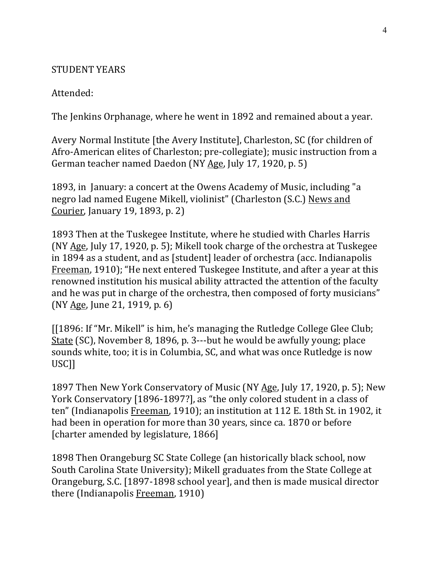#### STUDENT YEARS

#### Attended:

The Jenkins Orphanage, where he went in 1892 and remained about a year.

Avery Normal Institute [the Avery Institute], Charleston, SC (for children of Afro-American elites of Charleston; pre-collegiate); music instruction from a German teacher named Daedon (NY Age, July 17, 1920, p. 5)

1893, in January: a concert at the Owens Academy of Music, including "a negro lad named Eugene Mikell, violinist" (Charleston (S.C.) News and Courier, January 19, 1893, p. 2)

1893 Then at the Tuskegee Institute, where he studied with Charles Harris (NY Age, July 17, 1920, p. 5); Mikell took charge of the orchestra at Tuskegee in 1894 as a student, and as [student] leader of orchestra (acc. Indianapolis Freeman, 1910); "He next entered Tuskegee Institute, and after a year at this renowned institution his musical ability attracted the attention of the faculty and he was put in charge of the orchestra, then composed of forty musicians" (NY Age, June 21, 1919, p. 6)

 $[1896:$  If "Mr. Mikell" is him, he's managing the Rutledge College Glee Club; State (SC), November 8, 1896, p. 3---but he would be awfully young; place sounds white, too; it is in Columbia, SC, and what was once Rutledge is now USC]]

1897 Then New York Conservatory of Music (NY Age, July 17, 1920, p. 5); New York Conservatory [1896-1897?], as "the only colored student in a class of ten" (Indianapolis Freeman, 1910); an institution at 112 E. 18th St. in 1902, it had been in operation for more than 30 years, since ca. 1870 or before [charter amended by legislature, 1866]

1898 Then Orangeburg SC State College (an historically black school, now South Carolina State University); Mikell graduates from the State College at Orangeburg, S.C. [1897-1898 school year], and then is made musical director there (Indianapolis Freeman, 1910)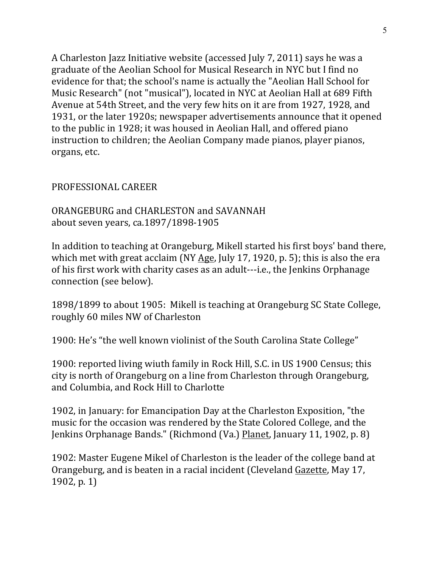A Charleston Jazz Initiative website (accessed July 7, 2011) says he was a graduate of the Aeolian School for Musical Research in NYC but I find no evidence for that; the school's name is actually the "Aeolian Hall School for Music Research" (not "musical"), located in NYC at Aeolian Hall at 689 Fifth Avenue at 54th Street, and the very few hits on it are from 1927, 1928, and 1931, or the later 1920s; newspaper advertisements announce that it opened to the public in 1928; it was housed in Aeolian Hall, and offered piano instruction to children; the Aeolian Company made pianos, player pianos, organs, etc.

## PROFESSIONAL CAREER

ORANGEBURG and CHARLESTON and SAVANNAH about seven years, ca.1897/1898-1905

In addition to teaching at Orangeburg, Mikell started his first boys' band there, which met with great acclaim (NY Age, July 17, 1920, p. 5); this is also the era of his first work with charity cases as an adult---i.e., the Jenkins Orphanage connection (see below).

1898/1899 to about 1905: Mikell is teaching at Orangeburg SC State College, roughly 60 miles NW of Charleston

1900: He's "the well known violinist of the South Carolina State College"

1900: reported living wiuth family in Rock Hill, S.C. in US 1900 Census; this city is north of Orangeburg on a line from Charleston through Orangeburg, and Columbia, and Rock Hill to Charlotte

1902, in January: for Emancipation Day at the Charleston Exposition, "the music for the occasion was rendered by the State Colored College, and the Jenkins Orphanage Bands." (Richmond (Va.) Planet, January 11, 1902, p. 8)

1902: Master Eugene Mikel of Charleston is the leader of the college band at Orangeburg, and is beaten in a racial incident (Cleveland Gazette, May 17,  $1902$ , p. 1)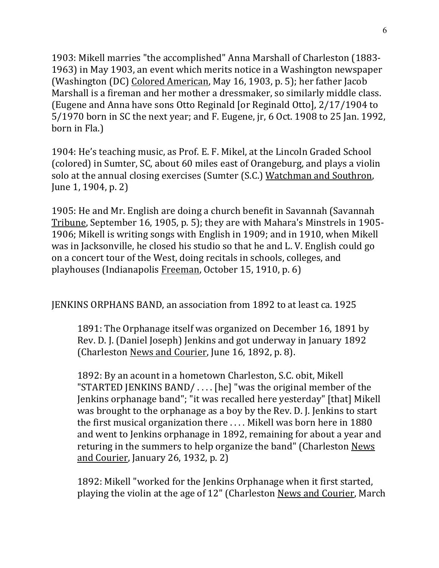1903: Mikell marries "the accomplished" Anna Marshall of Charleston (1883-1963) in May 1903, an event which merits notice in a Washington newspaper (Washington (DC) Colored American, May 16, 1903, p. 5); her father Jacob Marshall is a fireman and her mother a dressmaker, so similarly middle class. (Eugene and Anna have sons Otto Reginald [or Reginald Otto],  $2/17/1904$  to  $5/1970$  born in SC the next year; and F. Eugene, jr, 6 Oct. 1908 to 25 Jan. 1992, born in Fla.)

1904: He's teaching music, as Prof. E. F. Mikel, at the Lincoln Graded School (colored) in Sumter, SC, about 60 miles east of Orangeburg, and plays a violin solo at the annual closing exercises (Sumter (S.C.) Watchman and Southron, June 1, 1904, p. 2)

1905: He and Mr. English are doing a church benefit in Savannah (Savannah Tribune, September 16, 1905, p. 5); they are with Mahara's Minstrels in 1905-1906; Mikell is writing songs with English in 1909; and in 1910, when Mikell was in Jacksonville, he closed his studio so that he and L. V. English could go on a concert tour of the West, doing recitals in schools, colleges, and playhouses (Indianapolis Freeman, October 15, 1910, p. 6)

JENKINS ORPHANS BAND, an association from 1892 to at least ca. 1925

1891: The Orphanage itself was organized on December 16, 1891 by Rev. D. J. (Daniel Joseph) Jenkins and got underway in January 1892 (Charleston News and Courier, June 16, 1892, p. 8).

1892: By an acount in a hometown Charleston, S.C. obit, Mikell "STARTED JENKINS BAND/  $\dots$  [he] "was the original member of the Jenkins orphanage band"; "it was recalled here yesterday" [that] Mikell was brought to the orphanage as a boy by the Rev. D. J. Jenkins to start the first musical organization there  $\dots$ . Mikell was born here in 1880 and went to Jenkins orphanage in 1892, remaining for about a year and returing in the summers to help organize the band" (Charleston News) and Courier, January 26, 1932, p. 2)

1892: Mikell "worked for the Jenkins Orphanage when it first started, playing the violin at the age of 12" (Charleston News and Courier, March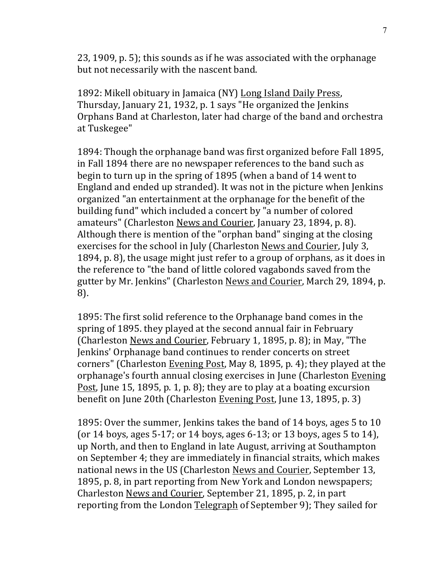23, 1909, p. 5); this sounds as if he was associated with the orphanage but not necessarily with the nascent band.

1892: Mikell obituary in Jamaica (NY) Long Island Daily Press, Thursday, January 21, 1932, p. 1 says "He organized the Jenkins Orphans Band at Charleston, later had charge of the band and orchestra at Tuskegee"

1894: Though the orphanage band was first organized before Fall 1895, in Fall 1894 there are no newspaper references to the band such as begin to turn up in the spring of 1895 (when a band of 14 went to England and ended up stranded). It was not in the picture when Jenkins organized "an entertainment at the orphanage for the benefit of the building fund" which included a concert by "a number of colored amateurs" (Charleston News and Courier, January 23, 1894, p. 8). Although there is mention of the "orphan band" singing at the closing exercises for the school in July (Charleston News and Courier, July 3, 1894, p. 8), the usage might just refer to a group of orphans, as it does in the reference to "the band of little colored vagabonds saved from the gutter by Mr. Jenkins" (Charleston News and Courier, March 29, 1894, p. 8).

1895: The first solid reference to the Orphanage band comes in the spring of 1895. they played at the second annual fair in February (Charleston News and Courier, February 1, 1895, p. 8); in May, "The Jenkins' Orphanage band continues to render concerts on street corners" (Charleston Evening Post, May 8, 1895, p. 4); they played at the orphanage's fourth annual closing exercises in June (Charleston Evening Post, June 15, 1895, p. 1, p. 8); they are to play at a boating excursion benefit on June 20th (Charleston Evening Post, June 13, 1895, p. 3)

1895: Over the summer, Jenkins takes the band of 14 boys, ages 5 to 10 (or  $14$  boys, ages  $5-17$ ; or  $14$  boys, ages  $6-13$ ; or  $13$  boys, ages  $5$  to  $14$ ), up North, and then to England in late August, arriving at Southampton on September 4; they are immediately in financial straits, which makes national news in the US (Charleston News and Courier, September 13, 1895, p. 8, in part reporting from New York and London newspapers; Charleston News and Courier, September 21, 1895, p. 2, in part reporting from the London Telegraph of September 9); They sailed for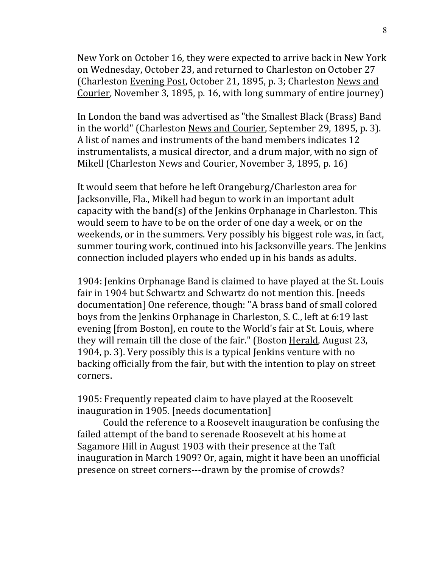New York on October 16, they were expected to arrive back in New York on Wednesday, October 23, and returned to Charleston on October 27 (Charleston Evening Post, October 21, 1895, p. 3; Charleston News and Courier, November 3, 1895, p. 16, with long summary of entire journey)

In London the band was advertised as "the Smallest Black (Brass) Band in the world" (Charleston News and Courier, September 29, 1895, p. 3). A list of names and instruments of the band members indicates 12 instrumentalists, a musical director, and a drum major, with no sign of Mikell (Charleston News and Courier, November 3, 1895, p. 16)

It would seem that before he left Orangeburg/Charleston area for Jacksonville, Fla., Mikell had begun to work in an important adult capacity with the band(s) of the Jenkins Orphanage in Charleston. This would seem to have to be on the order of one day a week, or on the weekends, or in the summers. Very possibly his biggest role was, in fact, summer touring work, continued into his Jacksonville years. The Jenkins connection included players who ended up in his bands as adults.

1904: Jenkins Orphanage Band is claimed to have played at the St. Louis fair in 1904 but Schwartz and Schwartz do not mention this. [needs documentation] One reference, though: "A brass band of small colored boys from the Jenkins Orphanage in Charleston, S. C., left at 6:19 last evening [from Boston], en route to the World's fair at St. Louis, where they will remain till the close of the fair." (Boston Herald, August 23, 1904, p. 3). Very possibly this is a typical Jenkins venture with no backing officially from the fair, but with the intention to play on street corners.

1905: Frequently repeated claim to have played at the Roosevelt inauguration in 1905. [needs documentation]

Could the reference to a Roosevelt inauguration be confusing the failed attempt of the band to serenade Roosevelt at his home at Sagamore Hill in August 1903 with their presence at the Taft inauguration in March 1909? Or, again, might it have been an unofficial presence on street corners---drawn by the promise of crowds?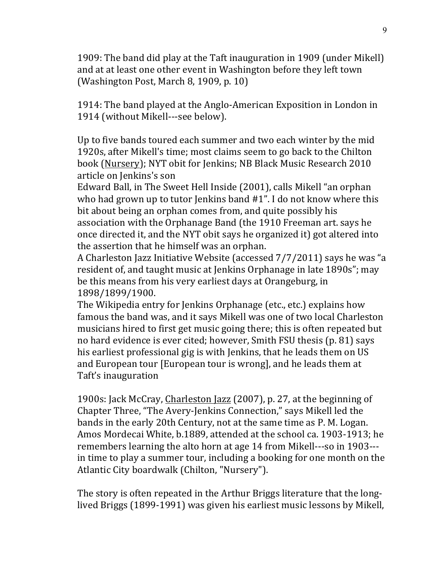1909: The band did play at the Taft inauguration in 1909 (under Mikell) and at at least one other event in Washington before they left town (Washington Post, March 8, 1909, p. 10)

1914: The band played at the Anglo-American Exposition in London in 1914 (without Mikell---see below).

Up to five bands toured each summer and two each winter by the mid 1920s, after Mikell's time; most claims seem to go back to the Chilton book (Nursery); NYT obit for Jenkins; NB Black Music Research 2010 article on Jenkins's son

Edward Ball, in The Sweet Hell Inside (2001), calls Mikell "an orphan who had grown up to tutor Jenkins band  $#1$ ". I do not know where this bit about being an orphan comes from, and quite possibly his

association with the Orphanage Band (the 1910 Freeman art. says he once directed it, and the NYT obit says he organized it) got altered into the assertion that he himself was an orphan.

A Charleston Jazz Initiative Website (accessed 7/7/2011) says he was "a resident of, and taught music at Jenkins Orphanage in late 1890s"; may be this means from his very earliest days at Orangeburg, in 1898/1899/1900.

The Wikipedia entry for Jenkins Orphanage (etc., etc.) explains how famous the band was, and it says Mikell was one of two local Charleston musicians hired to first get music going there; this is often repeated but no hard evidence is ever cited; however, Smith FSU thesis (p. 81) says his earliest professional gig is with Jenkins, that he leads them on US and European tour [European tour is wrong], and he leads them at Taft's inauguration

1900s: Jack McCray, Charleston Jazz (2007), p. 27, at the beginning of Chapter Three, "The Avery-Jenkins Connection," says Mikell led the bands in the early 20th Century, not at the same time as P. M. Logan. Amos Mordecai White, b.1889, attended at the school ca. 1903-1913; he remembers learning the alto horn at age 14 from Mikell---so in 1903--in time to play a summer tour, including a booking for one month on the Atlantic City boardwalk (Chilton, "Nursery").

The story is often repeated in the Arthur Briggs literature that the longlived Briggs (1899-1991) was given his earliest music lessons by Mikell,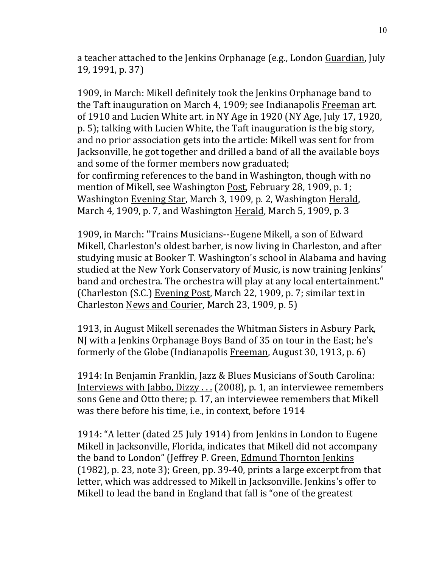a teacher attached to the Jenkins Orphanage (e.g., London Guardian, July 19, 1991, p. 37)

1909, in March: Mikell definitely took the Jenkins Orphanage band to the Taft inauguration on March 4, 1909; see Indianapolis Freeman art. of 1910 and Lucien White art. in NY Age in 1920 (NY Age, July 17, 1920, p. 5); talking with Lucien White, the Taft inauguration is the big story, and no prior association gets into the article: Mikell was sent for from Jacksonville, he got together and drilled a band of all the available boys and some of the former members now graduated; for confirming references to the band in Washington, though with no mention of Mikell, see Washington Post, February 28, 1909, p. 1; Washington Evening Star, March 3, 1909, p. 2, Washington Herald, March 4, 1909, p. 7, and Washington Herald, March 5, 1909, p. 3

1909, in March: "Trains Musicians--Eugene Mikell, a son of Edward Mikell, Charleston's oldest barber, is now living in Charleston, and after studying music at Booker T. Washington's school in Alabama and having studied at the New York Conservatory of Music, is now training Jenkins' band and orchestra. The orchestra will play at any local entertainment." (Charleston (S.C.) Evening Post, March 22, 1909, p. 7; similar text in Charleston News and Courier, March 23, 1909, p. 5)

1913, in August Mikell serenades the Whitman Sisters in Asbury Park, NJ with a Jenkins Orphanage Boys Band of 35 on tour in the East; he's formerly of the Globe (Indianapolis Freeman, August 30, 1913, p. 6)

1914: In Benjamin Franklin, <u>Jazz & Blues Musicians of South Carolina:</u> Interviews with Jabbo, Dizzy  $\ldots$  (2008), p. 1, an interviewee remembers sons Gene and Otto there; p. 17, an interviewee remembers that Mikell was there before his time, i.e., in context, before 1914

1914: "A letter (dated 25 July 1914) from Jenkins in London to Eugene Mikell in Jacksonville, Florida, indicates that Mikell did not accompany the band to London" (Jeffrey P. Green, Edmund Thornton Jenkins  $(1982)$ , p. 23, note 3); Green, pp. 39-40, prints a large excerpt from that letter, which was addressed to Mikell in Jacksonville. Jenkins's offer to Mikell to lead the band in England that fall is "one of the greatest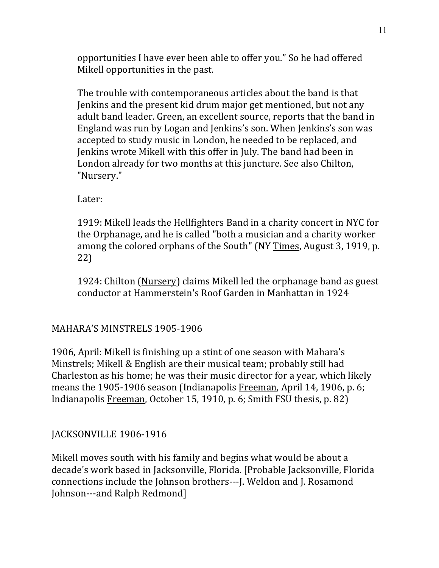opportunities I have ever been able to offer you." So he had offered Mikell opportunities in the past.

The trouble with contemporaneous articles about the band is that Jenkins and the present kid drum major get mentioned, but not any adult band leader. Green, an excellent source, reports that the band in England was run by Logan and Jenkins's son. When Jenkins's son was accepted to study music in London, he needed to be replaced, and Jenkins wrote Mikell with this offer in July. The band had been in London already for two months at this juncture. See also Chilton, "Nursery."

Later:

1919: Mikell leads the Hellfighters Band in a charity concert in NYC for the Orphanage, and he is called "both a musician and a charity worker among the colored orphans of the South" (NY Times, August 3, 1919, p. 22)

1924: Chilton (Nursery) claims Mikell led the orphanage band as guest conductor at Hammerstein's Roof Garden in Manhattan in 1924

MAHARA'S MINSTRELS 1905-1906

1906, April: Mikell is finishing up a stint of one season with Mahara's Minstrels; Mikell & English are their musical team; probably still had Charleston as his home; he was their music director for a year, which likely means the 1905-1906 season (Indianapolis Freeman, April 14, 1906, p. 6; Indianapolis Freeman, October 15, 1910, p. 6; Smith FSU thesis, p. 82)

## JACKSONVILLE 1906-1916

Mikell moves south with his family and begins what would be about a decade's work based in Jacksonville, Florida. [Probable Jacksonville, Florida connections include the Johnson brothers---J. Weldon and J. Rosamond Johnson---and Ralph Redmond]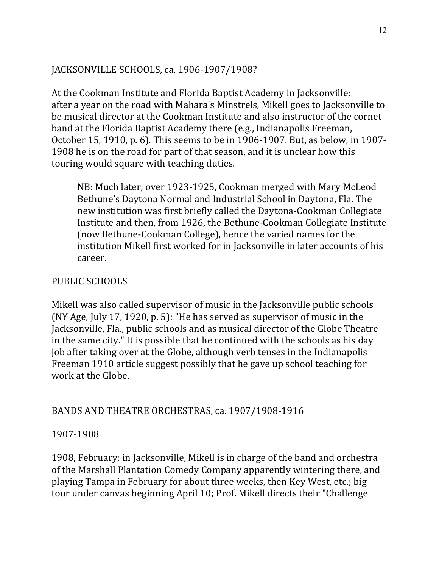## JACKSONVILLE SCHOOLS, ca. 1906-1907/1908?

At the Cookman Institute and Florida Baptist Academy in Jacksonville: after a year on the road with Mahara's Minstrels, Mikell goes to Jacksonville to be musical director at the Cookman Institute and also instructor of the cornet band at the Florida Baptist Academy there (e.g., Indianapolis Freeman, October 15, 1910, p. 6). This seems to be in 1906-1907. But, as below, in 1907-1908 he is on the road for part of that season, and it is unclear how this touring would square with teaching duties.

NB: Much later, over 1923-1925, Cookman merged with Mary McLeod Bethune's Daytona Normal and Industrial School in Daytona, Fla. The new institution was first briefly called the Daytona-Cookman Collegiate Institute and then, from 1926, the Bethune-Cookman Collegiate Institute (now Bethune-Cookman College), hence the varied names for the institution Mikell first worked for in Jacksonville in later accounts of his career.

## PUBLIC SCHOOLS

Mikell was also called supervisor of music in the Jacksonville public schools (NY  $\angle$ Age, July 17, 1920, p. 5): "He has served as supervisor of music in the Jacksonville, Fla., public schools and as musical director of the Globe Theatre in the same city." It is possible that he continued with the schools as his day job after taking over at the Globe, although verb tenses in the Indianapolis Freeman 1910 article suggest possibly that he gave up school teaching for work at the Globe.

## BANDS AND THEATRE ORCHESTRAS, ca. 1907/1908-1916

## 1907-1908

1908, February: in Jacksonville, Mikell is in charge of the band and orchestra of the Marshall Plantation Comedy Company apparently wintering there, and playing Tampa in February for about three weeks, then Key West, etc.; big tour under canvas beginning April 10; Prof. Mikell directs their "Challenge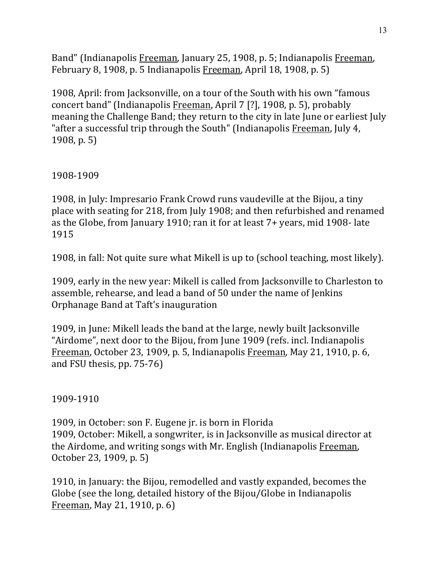Band" (Indianapolis Freeman, January 25, 1908, p. 5; Indianapolis Freeman, February 8, 1908, p. 5 Indianapolis Freeman, April 18, 1908, p. 5)

1908, April: from Jacksonville, on a tour of the South with his own "famous concert band" (Indianapolis Freeman, April 7 [?], 1908, p. 5), probably meaning the Challenge Band; they return to the city in late June or earliest July "after a successful trip through the South" (Indianapolis Freeman, July 4,  $1908, p. 5)$ 

1908-1909

1908, in July: Impresario Frank Crowd runs vaudeville at the Bijou, a tiny place with seating for 218, from July 1908; and then refurbished and renamed as the Globe, from January 1910; ran it for at least  $7+$  years, mid 1908- late 1915

1908, in fall: Not quite sure what Mikell is up to (school teaching, most likely).

1909, early in the new year: Mikell is called from Jacksonville to Charleston to assemble, rehearse, and lead a band of 50 under the name of Jenkins Orphanage Band at Taft's inauguration

1909, in June: Mikell leads the band at the large, newly built Jacksonville "Airdome", next door to the Bijou, from June 1909 (refs. incl. Indianapolis Freeman, October 23, 1909, p. 5, Indianapolis Freeman, May 21, 1910, p. 6, and FSU thesis,  $pp. 75-76$ )

1909-1910

1909, in October: son F. Eugene jr. is born in Florida 1909, October: Mikell, a songwriter, is in Jacksonville as musical director at the Airdome, and writing songs with Mr. English (Indianapolis Freeman, October 23, 1909, p. 5)

1910, in January: the Bijou, remodelled and vastly expanded, becomes the Globe (see the long, detailed history of the Bijou/Globe in Indianapolis Freeman, May 21, 1910, p. 6)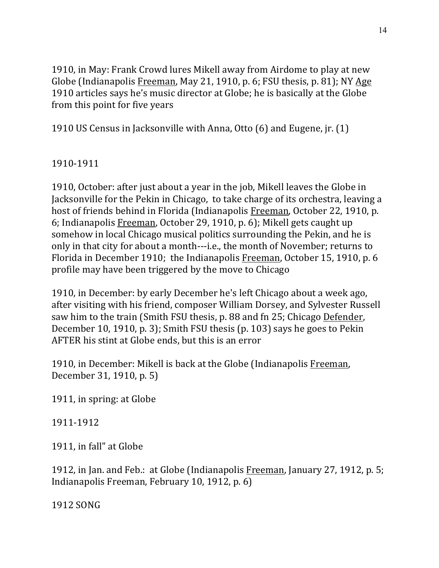1910, in May: Frank Crowd lures Mikell away from Airdome to play at new Globe (Indianapolis Freeman, May 21, 1910, p. 6; FSU thesis, p. 81); NY Age 1910 articles says he's music director at Globe; he is basically at the Globe from this point for five years

1910 US Census in Jacksonville with Anna, Otto (6) and Eugene, jr. (1)

1910-1911

1910, October: after just about a year in the job, Mikell leaves the Globe in Jacksonville for the Pekin in Chicago, to take charge of its orchestra, leaving a host of friends behind in Florida (Indianapolis Freeman, October 22, 1910, p. 6; Indianapolis Freeman, October 29, 1910, p. 6); Mikell gets caught up somehow in local Chicago musical politics surrounding the Pekin, and he is only in that city for about a month---i.e., the month of November; returns to Florida in December 1910; the Indianapolis Freeman, October 15, 1910, p. 6 profile may have been triggered by the move to Chicago

1910, in December: by early December he's left Chicago about a week ago, after visiting with his friend, composer William Dorsey, and Sylvester Russell saw him to the train (Smith FSU thesis, p. 88 and fn 25; Chicago Defender, December 10, 1910, p. 3); Smith FSU thesis  $(p. 103)$  says he goes to Pekin AFTER his stint at Globe ends, but this is an error

1910, in December: Mikell is back at the Globe (Indianapolis Freeman, December 31, 1910, p. 5)

1911, in spring: at Globe

1911-1912

1911, in fall" at Globe

1912, in Jan. and Feb.: at Globe (Indianapolis Freeman, January 27, 1912, p. 5; Indianapolis Freeman, February 10, 1912, p. 6)

1912 SONG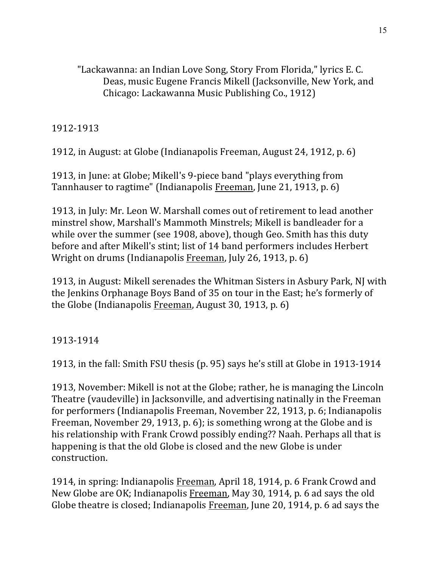"Lackawanna: an Indian Love Song, Story From Florida," lyrics E. C. Deas, music Eugene Francis Mikell (Jacksonville, New York, and Chicago: Lackawanna Music Publishing Co., 1912)

1912-1913

1912, in August: at Globe (Indianapolis Freeman, August 24, 1912, p. 6)

1913, in June: at Globe; Mikell's 9-piece band "plays everything from Tannhauser to ragtime" (Indianapolis Freeman, June 21, 1913, p. 6)

1913, in July: Mr. Leon W. Marshall comes out of retirement to lead another minstrel show, Marshall's Mammoth Minstrels; Mikell is bandleader for a while over the summer (see 1908, above), though Geo. Smith has this duty before and after Mikell's stint; list of 14 band performers includes Herbert Wright on drums (Indianapolis Freeman, July 26, 1913, p. 6)

1913, in August: Mikell serenades the Whitman Sisters in Asbury Park, NJ with the Jenkins Orphanage Boys Band of 35 on tour in the East; he's formerly of the Globe (Indianapolis Freeman, August 30, 1913, p. 6)

1913-1914

1913, in the fall: Smith FSU thesis (p. 95) says he's still at Globe in 1913-1914

1913, November: Mikell is not at the Globe; rather, he is managing the Lincoln Theatre (vaudeville) in Jacksonville, and advertising natinally in the Freeman for performers (Indianapolis Freeman, November 22, 1913, p. 6; Indianapolis Freeman, November 29, 1913, p. 6); is something wrong at the Globe and is his relationship with Frank Crowd possibly ending?? Naah. Perhaps all that is happening is that the old Globe is closed and the new Globe is under construction.

1914, in spring: Indianapolis Freeman, April 18, 1914, p. 6 Frank Crowd and New Globe are OK; Indianapolis Freeman, May 30, 1914, p. 6 ad says the old Globe theatre is closed; Indianapolis Freeman, June 20, 1914, p. 6 ad says the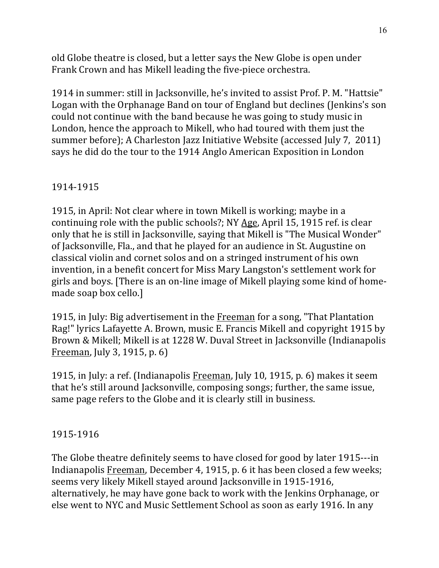old Globe theatre is closed, but a letter says the New Globe is open under Frank Crown and has Mikell leading the five-piece orchestra.

1914 in summer: still in Jacksonville, he's invited to assist Prof. P. M. "Hattsie" Logan with the Orphanage Band on tour of England but declines (Jenkins's son could not continue with the band because he was going to study music in London, hence the approach to Mikell, who had toured with them just the summer before); A Charleston Jazz Initiative Website (accessed July 7, 2011) says he did do the tour to the 1914 Anglo American Exposition in London

## 1914-1915

1915, in April: Not clear where in town Mikell is working; maybe in a continuing role with the public schools?; NY Age, April 15, 1915 ref. is clear only that he is still in Jacksonville, saying that Mikell is "The Musical Wonder" of Jacksonville, Fla., and that he played for an audience in St. Augustine on classical violin and cornet solos and on a stringed instrument of his own invention, in a benefit concert for Miss Mary Langston's settlement work for girls and boys. [There is an on-line image of Mikell playing some kind of homemade soap box cello.]

1915, in July: Big advertisement in the Freeman for a song, "That Plantation Rag!" lyrics Lafayette A. Brown, music E. Francis Mikell and copyright 1915 by Brown & Mikell; Mikell is at 1228 W. Duval Street in Jacksonville (Indianapolis Freeman, July 3, 1915, p.  $6$ )

1915, in July: a ref. (Indianapolis Freeman, July 10, 1915, p. 6) makes it seem that he's still around Jacksonville, composing songs; further, the same issue, same page refers to the Globe and it is clearly still in business.

## 1915-1916

The Globe theatre definitely seems to have closed for good by later 1915---in Indianapolis Freeman, December 4, 1915, p. 6 it has been closed a few weeks; seems very likely Mikell stayed around Jacksonville in 1915-1916, alternatively, he may have gone back to work with the Jenkins Orphanage, or else went to NYC and Music Settlement School as soon as early 1916. In any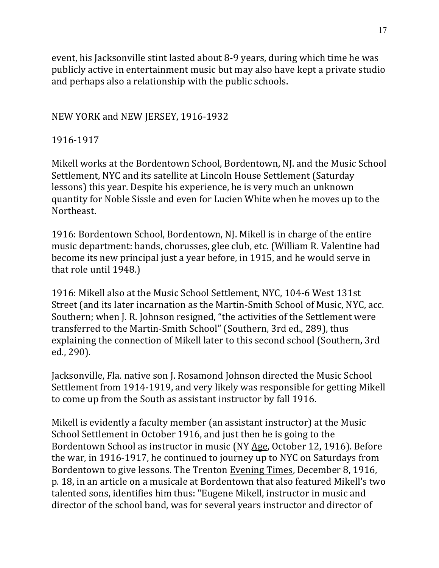event, his Jacksonville stint lasted about 8-9 years, during which time he was publicly active in entertainment music but may also have kept a private studio and perhaps also a relationship with the public schools.

## NEW YORK and NEW JERSEY, 1916-1932

## 1916-1917

Mikell works at the Bordentown School, Bordentown, NJ. and the Music School Settlement, NYC and its satellite at Lincoln House Settlement (Saturday lessons) this year. Despite his experience, he is very much an unknown quantity for Noble Sissle and even for Lucien White when he moves up to the Northeast.

1916: Bordentown School, Bordentown, NJ. Mikell is in charge of the entire music department: bands, chorusses, glee club, etc. (William R. Valentine had become its new principal just a year before, in 1915, and he would serve in that role until 1948.)

1916: Mikell also at the Music School Settlement, NYC, 104-6 West 131st Street (and its later incarnation as the Martin-Smith School of Music, NYC, acc. Southern; when J. R. Johnson resigned, "the activities of the Settlement were transferred to the Martin-Smith School" (Southern, 3rd ed., 289), thus explaining the connection of Mikell later to this second school (Southern, 3rd ed., 290).

Jacksonville, Fla. native son J. Rosamond Johnson directed the Music School Settlement from 1914-1919, and very likely was responsible for getting Mikell to come up from the South as assistant instructor by fall 1916.

Mikell is evidently a faculty member (an assistant instructor) at the Music School Settlement in October 1916, and just then he is going to the Bordentown School as instructor in music (NY Age, October 12, 1916). Before the war, in 1916-1917, he continued to journey up to NYC on Saturdays from Bordentown to give lessons. The Trenton Evening Times, December 8, 1916, p. 18, in an article on a musicale at Bordentown that also featured Mikell's two talented sons, identifies him thus: "Eugene Mikell, instructor in music and director of the school band, was for several years instructor and director of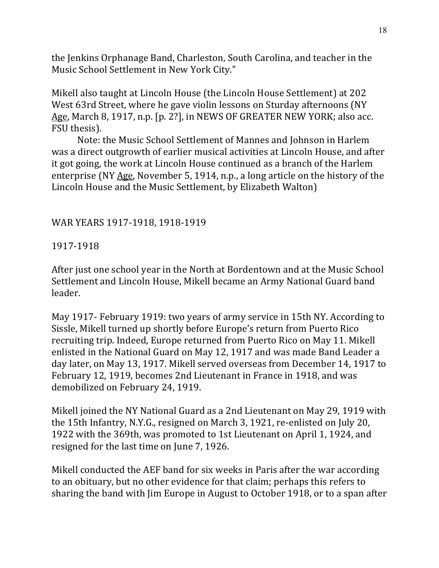the Jenkins Orphanage Band, Charleston, South Carolina, and teacher in the Music School Settlement in New York City."

Mikell also taught at Lincoln House (the Lincoln House Settlement) at 202 West 63rd Street, where he gave violin lessons on Sturday afternoons (NY Age, March 8, 1917, n.p. [p. 2?], in NEWS OF GREATER NEW YORK; also acc. FSU thesis).

Note: the Music School Settlement of Mannes and Johnson in Harlem was a direct outgrowth of earlier musical activities at Lincoln House, and after it got going, the work at Lincoln House continued as a branch of the Harlem enterprise (NY Age, November 5, 1914, n.p., a long article on the history of the Lincoln House and the Music Settlement, by Elizabeth Walton)

## WAR YEARS 1917-1918, 1918-1919

#### 1917-1918

After just one school year in the North at Bordentown and at the Music School Settlement and Lincoln House, Mikell became an Army National Guard band leader.

May 1917- February 1919: two years of army service in 15th NY. According to Sissle, Mikell turned up shortly before Europe's return from Puerto Rico recruiting trip. Indeed, Europe returned from Puerto Rico on May 11. Mikell enlisted in the National Guard on May 12, 1917 and was made Band Leader a day later, on May 13, 1917. Mikell served overseas from December 14, 1917 to February 12, 1919, becomes 2nd Lieutenant in France in 1918, and was demobilized on February 24, 1919.

Mikell joined the NY National Guard as a 2nd Lieutenant on May 29, 1919 with the 15th Infantry, N.Y.G., resigned on March 3, 1921, re-enlisted on July 20, 1922 with the 369th, was promoted to 1st Lieutenant on April 1, 1924, and resigned for the last time on June 7, 1926.

Mikell conducted the AEF band for six weeks in Paris after the war according to an obituary, but no other evidence for that claim; perhaps this refers to sharing the band with Jim Europe in August to October 1918, or to a span after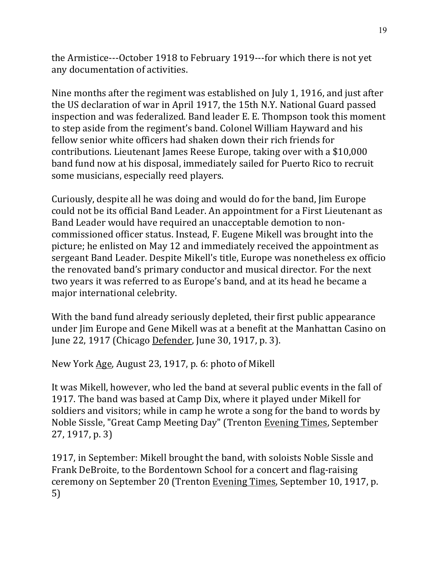the Armistice---October 1918 to February 1919---for which there is not yet any documentation of activities.

Nine months after the regiment was established on July 1, 1916, and just after the US declaration of war in April 1917, the 15th N.Y. National Guard passed inspection and was federalized. Band leader E. E. Thompson took this moment to step aside from the regiment's band. Colonel William Hayward and his fellow senior white officers had shaken down their rich friends for contributions. Lieutenant James Reese Europe, taking over with a \$10,000 band fund now at his disposal, immediately sailed for Puerto Rico to recruit some musicians, especially reed players.

Curiously, despite all he was doing and would do for the band, Jim Europe could not be its official Band Leader. An appointment for a First Lieutenant as Band Leader would have required an unacceptable demotion to noncommissioned officer status. Instead, F. Eugene Mikell was brought into the picture; he enlisted on May 12 and immediately received the appointment as sergeant Band Leader. Despite Mikell's title, Europe was nonetheless ex officio the renovated band's primary conductor and musical director. For the next two years it was referred to as Europe's band, and at its head he became a major international celebrity.

With the band fund already seriously depleted, their first public appearance under Jim Europe and Gene Mikell was at a benefit at the Manhattan Casino on June 22, 1917 (Chicago Defender, June 30, 1917, p. 3).

New York Age, August 23, 1917, p. 6: photo of Mikell

It was Mikell, however, who led the band at several public events in the fall of 1917. The band was based at Camp Dix, where it played under Mikell for soldiers and visitors; while in camp he wrote a song for the band to words by Noble Sissle, "Great Camp Meeting Day" (Trenton Evening Times, September 27, 1917, p. 3)

1917, in September: Mikell brought the band, with soloists Noble Sissle and Frank DeBroite, to the Bordentown School for a concert and flag-raising ceremony on September 20 (Trenton Evening Times, September 10, 1917, p. 5)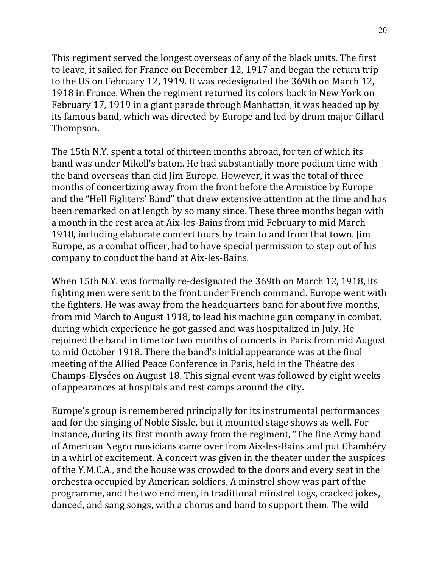This regiment served the longest overseas of any of the black units. The first to leave, it sailed for France on December 12, 1917 and began the return trip to the US on February 12, 1919. It was redesignated the 369th on March 12, 1918 in France. When the regiment returned its colors back in New York on February 17, 1919 in a giant parade through Manhattan, it was headed up by its famous band, which was directed by Europe and led by drum major Gillard Thompson.

The 15th N.Y. spent a total of thirteen months abroad, for ten of which its band was under Mikell's baton. He had substantially more podium time with the band overseas than did Jim Europe. However, it was the total of three months of concertizing away from the front before the Armistice by Europe and the "Hell Fighters' Band" that drew extensive attention at the time and has been remarked on at length by so many since. These three months began with a month in the rest area at Aix-les-Bains from mid February to mid March 1918, including elaborate concert tours by train to and from that town. Jim Europe, as a combat officer, had to have special permission to step out of his company to conduct the band at Aix-les-Bains.

When 15th N.Y. was formally re-designated the 369th on March 12, 1918, its fighting men were sent to the front under French command. Europe went with the fighters. He was away from the headquarters band for about five months, from mid March to August 1918, to lead his machine gun company in combat, during which experience he got gassed and was hospitalized in July. He rejoined the band in time for two months of concerts in Paris from mid August to mid October 1918. There the band's initial appearance was at the final meeting of the Allied Peace Conference in Paris, held in the Théatre des Champs-Elysées on August 18. This signal event was followed by eight weeks of appearances at hospitals and rest camps around the city.

Europe's group is remembered principally for its instrumental performances and for the singing of Noble Sissle, but it mounted stage shows as well. For instance, during its first month away from the regiment, "The fine Army band of American Negro musicians came over from Aix-les-Bains and put Chambéry in a whirl of excitement. A concert was given in the theater under the auspices of the Y.M.C.A., and the house was crowded to the doors and every seat in the orchestra occupied by American soldiers. A minstrel show was part of the programme, and the two end men, in traditional minstrel togs, cracked jokes, danced, and sang songs, with a chorus and band to support them. The wild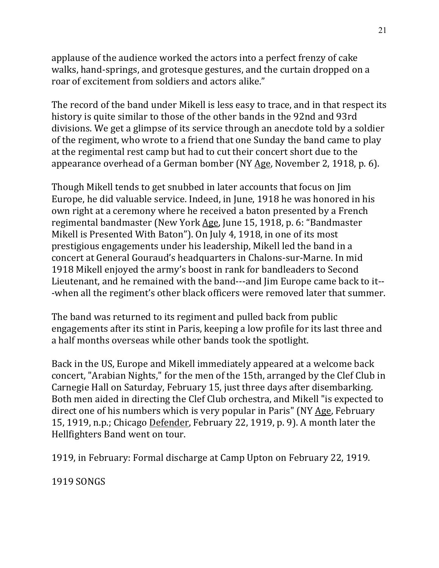applause of the audience worked the actors into a perfect frenzy of cake walks, hand-springs, and grotesque gestures, and the curtain dropped on a roar of excitement from soldiers and actors alike."

The record of the band under Mikell is less easy to trace, and in that respect its history is quite similar to those of the other bands in the 92nd and 93rd divisions. We get a glimpse of its service through an anecdote told by a soldier of the regiment, who wrote to a friend that one Sunday the band came to play at the regimental rest camp but had to cut their concert short due to the appearance overhead of a German bomber (NY Age, November 2, 1918, p. 6).

Though Mikell tends to get snubbed in later accounts that focus on Jim Europe, he did valuable service. Indeed, in June, 1918 he was honored in his own right at a ceremony where he received a baton presented by a French regimental bandmaster (New York Age, June 15, 1918, p. 6: "Bandmaster Mikell is Presented With Baton"). On July 4, 1918, in one of its most prestigious engagements under his leadership, Mikell led the band in a concert at General Gouraud's headquarters in Chalons-sur-Marne. In mid 1918 Mikell enjoyed the army's boost in rank for bandleaders to Second Lieutenant, and he remained with the band---and Jim Europe came back to it---when all the regiment's other black officers were removed later that summer.

The band was returned to its regiment and pulled back from public engagements after its stint in Paris, keeping a low profile for its last three and a half months overseas while other bands took the spotlight.

Back in the US, Europe and Mikell immediately appeared at a welcome back concert, "Arabian Nights," for the men of the 15th, arranged by the Clef Club in Carnegie Hall on Saturday, February 15, just three days after disembarking. Both men aided in directing the Clef Club orchestra, and Mikell "is expected to direct one of his numbers which is very popular in Paris" (NY Age, February 15, 1919, n.p.; Chicago Defender, February 22, 1919, p. 9). A month later the Hellfighters Band went on tour.

1919, in February: Formal discharge at Camp Upton on February 22, 1919.

**1919 SONGS**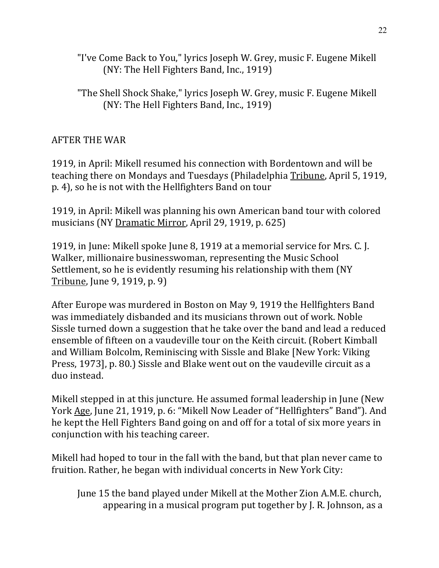- "I've Come Back to You," lyrics Joseph W. Grey, music F. Eugene Mikell (NY: The Hell Fighters Band, Inc., 1919)
- "The Shell Shock Shake," lyrics Joseph W. Grey, music F. Eugene Mikell (NY: The Hell Fighters Band, Inc., 1919)

## **AFTER THE WAR**

1919, in April: Mikell resumed his connection with Bordentown and will be teaching there on Mondays and Tuesdays (Philadelphia Tribune, April 5, 1919, p. 4), so he is not with the Hellfighters Band on tour

1919, in April: Mikell was planning his own American band tour with colored musicians (NY Dramatic Mirror, April 29, 1919, p. 625)

1919, in June: Mikell spoke June 8, 1919 at a memorial service for Mrs. C. J. Walker, millionaire businesswoman, representing the Music School Settlement, so he is evidently resuming his relationship with them (NY Tribune, June 9, 1919, p. 9)

After Europe was murdered in Boston on May 9, 1919 the Hellfighters Band was immediately disbanded and its musicians thrown out of work. Noble Sissle turned down a suggestion that he take over the band and lead a reduced ensemble of fifteen on a vaudeville tour on the Keith circuit. (Robert Kimball and William Bolcolm, Reminiscing with Sissle and Blake [New York: Viking] Press, 1973], p. 80.) Sissle and Blake went out on the vaudeville circuit as a duo instead.

Mikell stepped in at this juncture. He assumed formal leadership in June (New York Age, June 21, 1919, p. 6: "Mikell Now Leader of "Hellfighters" Band"). And he kept the Hell Fighters Band going on and off for a total of six more years in conjunction with his teaching career.

Mikell had hoped to tour in the fall with the band, but that plan never came to fruition. Rather, he began with individual concerts in New York City:

June 15 the band played under Mikell at the Mother Zion A.M.E. church, appearing in a musical program put together by  $I$ . R. Johnson, as a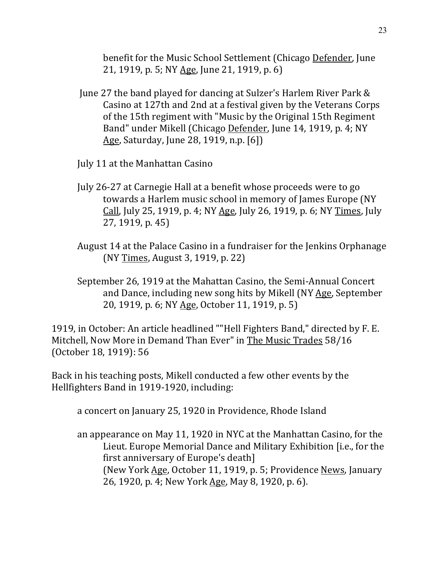benefit for the Music School Settlement (Chicago Defender, June 21, 1919, p. 5; NY Age, June 21, 1919, p. 6)

- June 27 the band played for dancing at Sulzer's Harlem River Park & Casino at 127th and 2nd at a festival given by the Veterans Corps of the 15th regiment with "Music by the Original 15th Regiment Band" under Mikell (Chicago Defender, June 14, 1919, p. 4; NY Age, Saturday, June 28, 1919, n.p. [6])
- July 11 at the Manhattan Casino
- July 26-27 at Carnegie Hall at a benefit whose proceeds were to go towards a Harlem music school in memory of James Europe (NY Call, July 25, 1919, p. 4; NY Age, July 26, 1919, p. 6; NY Times, July 27, 1919, p. 45)
- August 14 at the Palace Casino in a fundraiser for the Jenkins Orphanage (NY Times, August 3, 1919, p. 22)
- September 26, 1919 at the Mahattan Casino, the Semi-Annual Concert and Dance, including new song hits by Mikell (NY Age, September 20, 1919, p. 6; NY Age, October 11, 1919, p. 5)

1919, in October: An article headlined ""Hell Fighters Band," directed by F. E. Mitchell, Now More in Demand Than Ever" in The Music Trades 58/16 (October 18, 1919): 56

Back in his teaching posts, Mikell conducted a few other events by the Hellfighters Band in 1919-1920, including:

a concert on January 25, 1920 in Providence, Rhode Island

an appearance on May 11, 1920 in NYC at the Manhattan Casino, for the Lieut. Europe Memorial Dance and Military Exhibition [i.e., for the first anniversary of Europe's death] (New York Age, October 11, 1919, p. 5; Providence News, January 26, 1920, p. 4; New York Age, May 8, 1920, p. 6).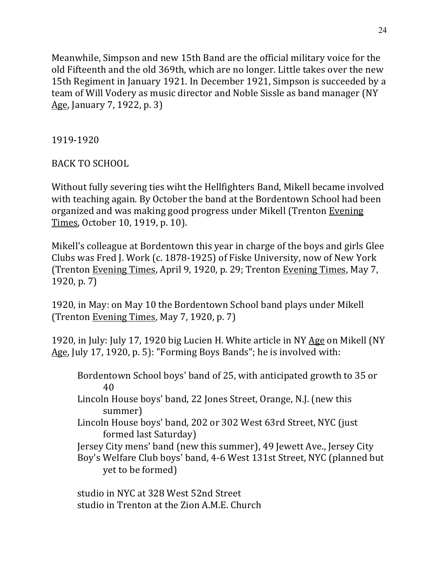Meanwhile, Simpson and new 15th Band are the official military voice for the old Fifteenth and the old 369th, which are no longer. Little takes over the new 15th Regiment in January 1921. In December 1921, Simpson is succeeded by a team of Will Vodery as music director and Noble Sissle as band manager (NY Age, January 7, 1922, p. 3)

1919-1920

BACK TO SCHOOL

Without fully severing ties wiht the Hellfighters Band, Mikell became involved with teaching again. By October the band at the Bordentown School had been organized and was making good progress under Mikell (Trenton Evening Times, October 10, 1919, p. 10).

Mikell's colleague at Bordentown this year in charge of the boys and girls Glee Clubs was Fred J. Work (c. 1878-1925) of Fiske University, now of New York (Trenton Evening Times, April 9, 1920, p. 29; Trenton Evening Times, May 7,  $1920, p. 7$ 

1920, in May: on May 10 the Bordentown School band plays under Mikell (Trenton Evening Times, May 7, 1920, p. 7)

1920, in July: July 17, 1920 big Lucien H. White article in NY Age on Mikell (NY Age, July 17, 1920, p. 5): "Forming Boys Bands"; he is involved with:

Bordentown School boys' band of 25, with anticipated growth to 35 or 40

- Lincoln House boys' band, 22 Jones Street, Orange, N.J. (new this summer)
- Lincoln House boys' band, 202 or 302 West 63rd Street, NYC (just formed last Saturday)

Jersey City mens' band (new this summer), 49 Jewett Ave., Jersey City Boy's Welfare Club boys' band, 4-6 West 131st Street, NYC (planned but

yet to be formed)

studio in NYC at 328 West 52nd Street studio in Trenton at the Zion A.M.E. Church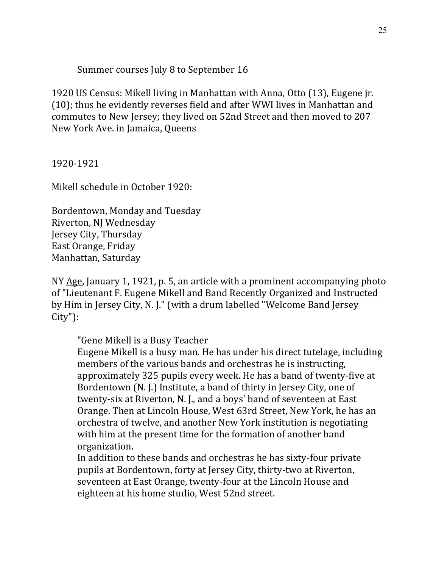Summer courses July 8 to September 16

1920 US Census: Mikell living in Manhattan with Anna, Otto (13), Eugene jr. (10); thus he evidently reverses field and after WWI lives in Manhattan and commutes to New Jersey; they lived on 52nd Street and then moved to 207 New York Ave. in Jamaica, Queens

1920-1921

Mikell schedule in October 1920:

Bordentown, Monday and Tuesday Riverton, NJ Wednesday Jersey City, Thursday East Orange, Friday Manhattan, Saturday

NY  $Age$ , January 1, 1921, p. 5, an article with a prominent accompanying photo of "Lieutenant F. Eugene Mikell and Band Recently Organized and Instructed by Him in Jersey City, N. J." (with a drum labelled "Welcome Band Jersey City"):

"Gene Mikell is a Busy Teacher

Eugene Mikell is a busy man. He has under his direct tutelage, including members of the various bands and orchestras he is instructing, approximately 325 pupils every week. He has a band of twenty-five at Bordentown (N. J.) Institute, a band of thirty in Jersey City, one of twenty-six at Riverton, N. J., and a boys' band of seventeen at East Orange. Then at Lincoln House, West 63rd Street, New York, he has an orchestra of twelve, and another New York institution is negotiating with him at the present time for the formation of another band organization.

In addition to these bands and orchestras he has sixty-four private pupils at Bordentown, forty at Jersey City, thirty-two at Riverton, seventeen at East Orange, twenty-four at the Lincoln House and eighteen at his home studio, West 52nd street.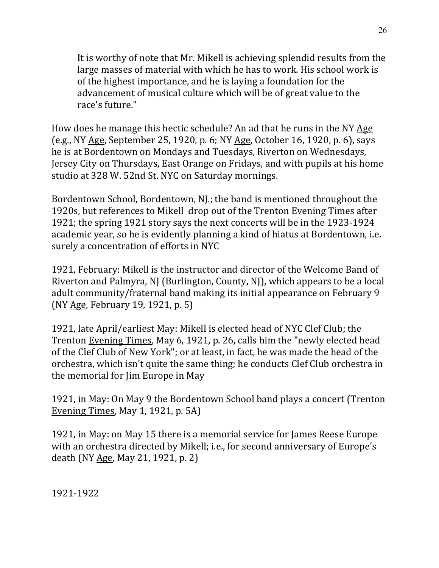It is worthy of note that Mr. Mikell is achieving splendid results from the large masses of material with which he has to work. His school work is of the highest importance, and he is laying a foundation for the advancement of musical culture which will be of great value to the race's future."

How does he manage this hectic schedule? An ad that he runs in the NY Age (e.g., NY Age, September 25, 1920, p. 6; NY Age, October 16, 1920, p. 6), says he is at Bordentown on Mondays and Tuesdays, Riverton on Wednesdays, Jersey City on Thursdays, East Orange on Fridays, and with pupils at his home studio at 328 W. 52nd St. NYC on Saturday mornings.

Bordentown School, Bordentown, NJ.; the band is mentioned throughout the 1920s, but references to Mikell drop out of the Trenton Evening Times after 1921; the spring 1921 story says the next concerts will be in the 1923-1924 academic year, so he is evidently planning a kind of hiatus at Bordentown, i.e. surely a concentration of efforts in NYC

1921, February: Mikell is the instructor and director of the Welcome Band of Riverton and Palmyra, NJ (Burlington, County, NJ), which appears to be a local adult community/fraternal band making its initial appearance on February 9 (NY Age, February 19, 1921, p. 5)

1921, late April/earliest May: Mikell is elected head of NYC Clef Club; the Trenton Evening Times, May 6, 1921, p. 26, calls him the "newly elected head of the Clef Club of New York"; or at least, in fact, he was made the head of the orchestra, which isn't quite the same thing; he conducts Clef Club orchestra in the memorial for Jim Europe in May

1921, in May: On May 9 the Bordentown School band plays a concert (Trenton Evening Times, May 1, 1921, p.  $5A$ )

1921, in May: on May 15 there is a memorial service for James Reese Europe with an orchestra directed by Mikell; i.e., for second anniversary of Europe's death (NY Age, May 21, 1921, p. 2)

1921-1922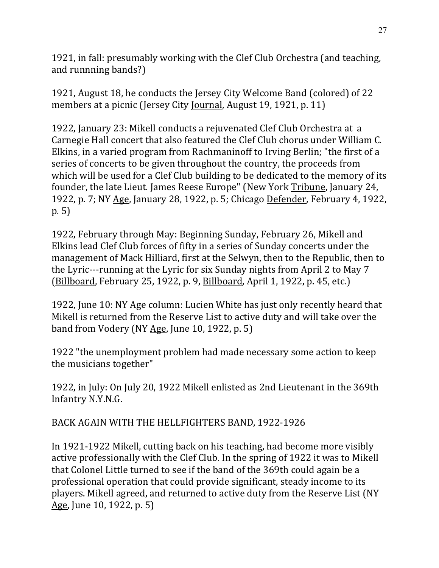1921, in fall: presumably working with the Clef Club Orchestra (and teaching, and runnning bands?)

1921, August 18, he conducts the Jersey City Welcome Band (colored) of 22 members at a picnic (Jersey City Journal, August 19, 1921, p. 11)

1922, January 23: Mikell conducts a rejuvenated Clef Club Orchestra at a Carnegie Hall concert that also featured the Clef Club chorus under William C. Elkins, in a varied program from Rachmaninoff to Irving Berlin; "the first of a series of concerts to be given throughout the country, the proceeds from which will be used for a Clef Club building to be dedicated to the memory of its founder, the late Lieut. James Reese Europe" (New York Tribune, January 24, 1922, p. 7; NY Age, January 28, 1922, p. 5; Chicago Defender, February 4, 1922, p. 5)

1922, February through May: Beginning Sunday, February 26, Mikell and Elkins lead Clef Club forces of fifty in a series of Sunday concerts under the management of Mack Hilliard, first at the Selwyn, then to the Republic, then to the Lyric---running at the Lyric for six Sunday nights from April 2 to May 7 (Billboard, February 25, 1922, p. 9, Billboard, April 1, 1922, p. 45, etc.)

1922, June 10: NY Age column: Lucien White has just only recently heard that Mikell is returned from the Reserve List to active duty and will take over the band from Vodery (NY Age, June 10, 1922, p. 5)

1922 "the unemployment problem had made necessary some action to keep the musicians together"

1922, in July: On July 20, 1922 Mikell enlisted as 2nd Lieutenant in the 369th Infantry N.Y.N.G.

BACK AGAIN WITH THE HELLFIGHTERS BAND, 1922-1926

In 1921-1922 Mikell, cutting back on his teaching, had become more visibly active professionally with the Clef Club. In the spring of 1922 it was to Mikell that Colonel Little turned to see if the band of the 369th could again be a professional operation that could provide significant, steady income to its players. Mikell agreed, and returned to active duty from the Reserve List (NY Age, June 10, 1922, p. 5)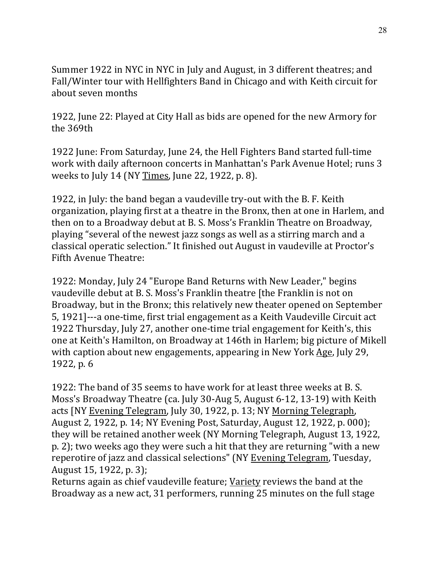Summer 1922 in NYC in NYC in July and August, in 3 different theatres; and Fall/Winter tour with Hellfighters Band in Chicago and with Keith circuit for about seven months

1922, June 22: Played at City Hall as bids are opened for the new Armory for the 369th

1922 June: From Saturday, June 24, the Hell Fighters Band started full-time work with daily afternoon concerts in Manhattan's Park Avenue Hotel; runs 3 weeks to July 14 (NY Times, June 22, 1922, p. 8).

1922, in July: the band began a vaudeville try-out with the B. F. Keith organization, playing first at a theatre in the Bronx, then at one in Harlem, and then on to a Broadway debut at B. S. Moss's Franklin Theatre on Broadway, playing "several of the newest jazz songs as well as a stirring march and a classical operatic selection." It finished out August in vaudeville at Proctor's Fifth Avenue Theatre:

1922: Monday, July 24 "Europe Band Returns with New Leader," begins vaudeville debut at B. S. Moss's Franklin theatre [the Franklin is not on Broadway, but in the Bronx; this relatively new theater opened on September 5, 1921]---a one-time, first trial engagement as a Keith Vaudeville Circuit act 1922 Thursday, July 27, another one-time trial engagement for Keith's, this one at Keith's Hamilton, on Broadway at 146th in Harlem; big picture of Mikell with caption about new engagements, appearing in New York Age, July 29, 1922, p. 6

1922: The band of 35 seems to have work for at least three weeks at B.S. Moss's Broadway Theatre (ca. July 30-Aug 5, August 6-12, 13-19) with Keith acts [NY Evening Telegram, July 30, 1922, p. 13; NY Morning Telegraph, August 2, 1922, p. 14; NY Evening Post, Saturday, August 12, 1922, p. 000); they will be retained another week (NY Morning Telegraph, August 13, 1922, p. 2); two weeks ago they were such a hit that they are returning "with a new reperotire of jazz and classical selections" (NY Evening Telegram, Tuesday, August 15, 1922, p. 3);

Returns again as chief vaudeville feature; Variety reviews the band at the Broadway as a new act, 31 performers, running 25 minutes on the full stage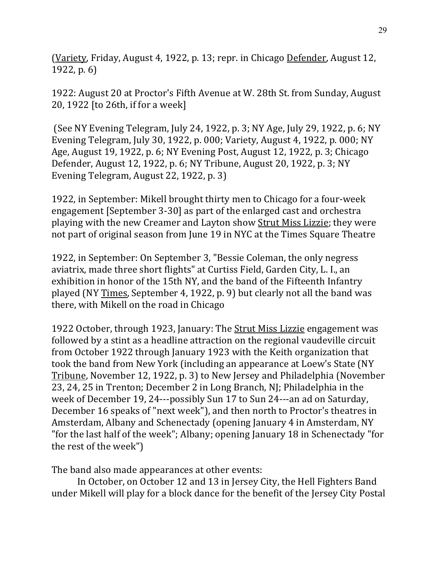(Variety, Friday, August 4, 1922, p. 13; repr. in Chicago Defender, August 12, 1922, p. 6)

1922: August 20 at Proctor's Fifth Avenue at W. 28th St. from Sunday, August 20, 1922  $[$  to 26th, if for a week $]$ 

(See NY Evening Telegram, July 24, 1922, p. 3; NY Age, July 29, 1922, p. 6; NY Evening Telegram, July 30, 1922, p. 000; Variety, August 4, 1922, p. 000; NY Age, August 19, 1922, p. 6; NY Evening Post, August 12, 1922, p. 3; Chicago Defender, August 12, 1922, p. 6; NY Tribune, August 20, 1922, p. 3; NY Evening Telegram, August 22, 1922, p. 3)

1922, in September: Mikell brought thirty men to Chicago for a four-week engagement [September 3-30] as part of the enlarged cast and orchestra playing with the new Creamer and Layton show Strut Miss Lizzie; they were not part of original season from June 19 in NYC at the Times Square Theatre

1922, in September: On September 3, "Bessie Coleman, the only negress aviatrix, made three short flights" at Curtiss Field, Garden City, L. I., an exhibition in honor of the 15th NY, and the band of the Fifteenth Infantry played (NY Times, September 4, 1922, p. 9) but clearly not all the band was there, with Mikell on the road in Chicago

1922 October, through 1923, January: The Strut Miss Lizzie engagement was followed by a stint as a headline attraction on the regional vaudeville circuit from October 1922 through January 1923 with the Keith organization that took the band from New York (including an appearance at Loew's State (NY Tribune, November 12, 1922, p. 3) to New Jersey and Philadelphia (November 23, 24, 25 in Trenton; December 2 in Long Branch, NJ; Philadelphia in the week of December 19, 24---possibly Sun 17 to Sun 24---an ad on Saturday, December 16 speaks of "next week"), and then north to Proctor's theatres in Amsterdam, Albany and Schenectady (opening January 4 in Amsterdam, NY "for the last half of the week"; Albany; opening January 18 in Schenectady "for the rest of the week")

The band also made appearances at other events:

In October, on October 12 and 13 in Jersey City, the Hell Fighters Band under Mikell will play for a block dance for the benefit of the Jersey City Postal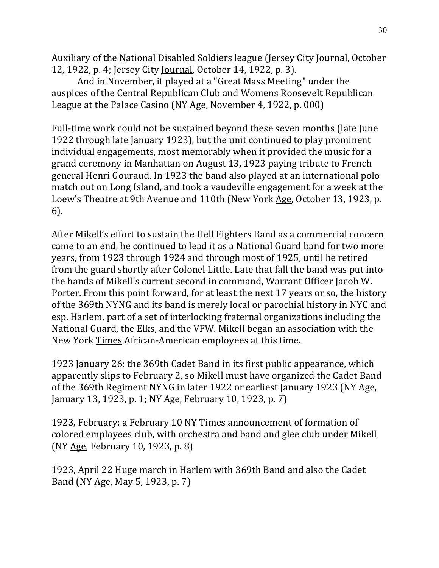Auxiliary of the National Disabled Soldiers league (Jersey City Journal, October 12, 1922, p. 4; Jersey City Journal, October 14, 1922, p. 3).

And in November, it played at a "Great Mass Meeting" under the auspices of the Central Republican Club and Womens Roosevelt Republican League at the Palace Casino (NY Age, November 4, 1922, p. 000)

Full-time work could not be sustained beyond these seven months (late June 1922 through late January 1923), but the unit continued to play prominent individual engagements, most memorably when it provided the music for a grand ceremony in Manhattan on August 13, 1923 paying tribute to French general Henri Gouraud. In 1923 the band also played at an international polo match out on Long Island, and took a vaudeville engagement for a week at the Loew's Theatre at 9th Avenue and 110th (New York Age, October 13, 1923, p. 6).

After Mikell's effort to sustain the Hell Fighters Band as a commercial concern came to an end, he continued to lead it as a National Guard band for two more years, from 1923 through 1924 and through most of 1925, until he retired from the guard shortly after Colonel Little. Late that fall the band was put into the hands of Mikell's current second in command, Warrant Officer Jacob W. Porter. From this point forward, for at least the next 17 years or so, the history of the 369th NYNG and its band is merely local or parochial history in NYC and esp. Harlem, part of a set of interlocking fraternal organizations including the National Guard, the Elks, and the VFW. Mikell began an association with the New York Times African-American employees at this time.

1923 January 26: the 369th Cadet Band in its first public appearance, which apparently slips to February 2, so Mikell must have organized the Cadet Band of the 369th Regiment NYNG in later 1922 or earliest January 1923 (NY Age, January 13, 1923, p. 1; NY Age, February 10, 1923, p. 7)

1923, February: a February 10 NY Times announcement of formation of colored employees club, with orchestra and band and glee club under Mikell  $(NY Age, February 10, 1923, p. 8)$ 

1923, April 22 Huge march in Harlem with 369th Band and also the Cadet Band (NY Age, May 5, 1923, p. 7)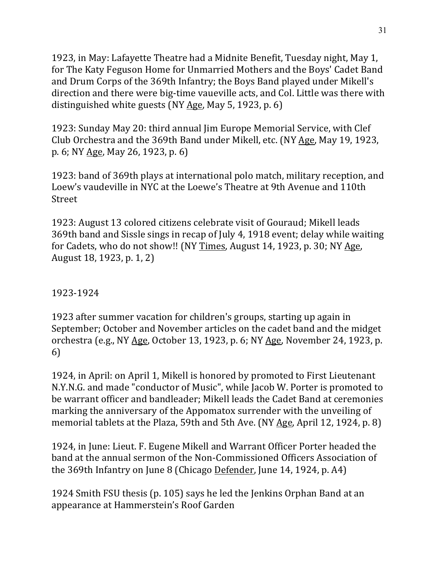1923, in May: Lafayette Theatre had a Midnite Benefit, Tuesday night, May 1, for The Katy Feguson Home for Unmarried Mothers and the Boys' Cadet Band and Drum Corps of the 369th Infantry; the Boys Band played under Mikell's direction and there were big-time vaueville acts, and Col. Little was there with distinguished white guests (NY  $\overline{Age}$ , May 5, 1923, p. 6)

1923: Sunday May 20: third annual Jim Europe Memorial Service, with Clef Club Orchestra and the 369th Band under Mikell, etc. (NY Age, May 19, 1923, p. 6; NY Age, May 26, 1923, p. 6)

1923: band of 369th plays at international polo match, military reception, and Loew's vaudeville in NYC at the Loewe's Theatre at 9th Avenue and 110th Street

1923: August 13 colored citizens celebrate visit of Gouraud; Mikell leads 369th band and Sissle sings in recap of July 4, 1918 event; delay while waiting for Cadets, who do not show!! (NY Times, August 14, 1923, p. 30; NY Age, August 18, 1923, p. 1, 2)

1923-1924

1923 after summer vacation for children's groups, starting up again in September; October and November articles on the cadet band and the midget orchestra (e.g., NY  $\underline{Age}$ , October 13, 1923, p. 6; NY  $\underline{Age}$ , November 24, 1923, p. 6)

1924, in April: on April 1, Mikell is honored by promoted to First Lieutenant N.Y.N.G. and made "conductor of Music", while Jacob W. Porter is promoted to be warrant officer and bandleader; Mikell leads the Cadet Band at ceremonies marking the anniversary of the Appomatox surrender with the unveiling of memorial tablets at the Plaza, 59th and 5th Ave. (NY  $\overline{Age}$ , April 12, 1924, p. 8)

1924, in June: Lieut. F. Eugene Mikell and Warrant Officer Porter headed the band at the annual sermon of the Non-Commissioned Officers Association of the 369th Infantry on June 8 (Chicago Defender, June 14, 1924, p. A4)

1924 Smith FSU thesis (p. 105) says he led the Jenkins Orphan Band at an appearance at Hammerstein's Roof Garden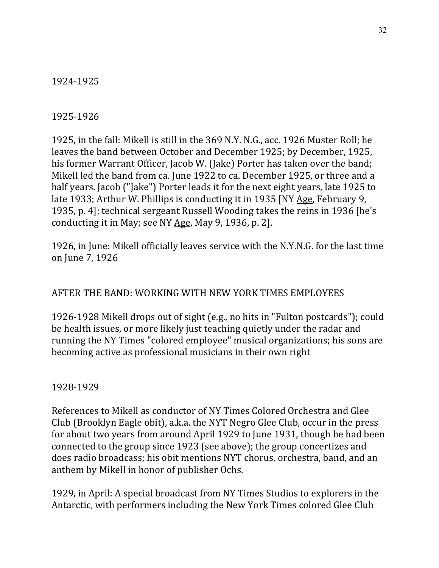1924-1925

#### 1925-1926

1925, in the fall: Mikell is still in the 369 N.Y. N.G., acc. 1926 Muster Roll; he leaves the band between October and December 1925; by December, 1925, his former Warrant Officer, Jacob W. (Jake) Porter has taken over the band; Mikell led the band from ca. June 1922 to ca. December 1925, or three and a half years. Jacob ("Jake") Porter leads it for the next eight years, late 1925 to late 1933; Arthur W. Phillips is conducting it in 1935 [NY Age, February 9, 1935, p. 4]; technical sergeant Russell Wooding takes the reins in 1936 [he's conducting it in May; see NY  $Age$ , May 9, 1936, p. 2].

1926, in June: Mikell officially leaves service with the N.Y.N.G. for the last time on June 7, 1926

## AFTER THE BAND: WORKING WITH NEW YORK TIMES EMPLOYEES

1926-1928 Mikell drops out of sight (e.g., no hits in "Fulton postcards"); could be health issues, or more likely just teaching quietly under the radar and running the NY Times "colored employee" musical organizations; his sons are becoming active as professional musicians in their own right

1928-1929

References to Mikell as conductor of NY Times Colored Orchestra and Glee Club (Brooklyn Eagle obit), a.k.a. the NYT Negro Glee Club, occur in the press for about two years from around April 1929 to June 1931, though he had been connected to the group since 1923 (see above); the group concertizes and does radio broadcass; his obit mentions NYT chorus, orchestra, band, and an anthem by Mikell in honor of publisher Ochs.

1929, in April: A special broadcast from NY Times Studios to explorers in the Antarctic, with performers including the New York Times colored Glee Club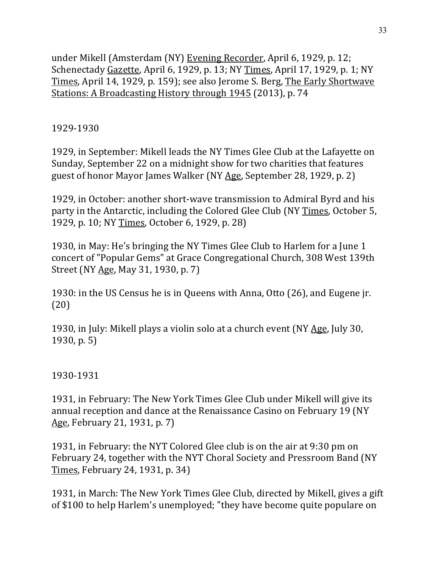under Mikell (Amsterdam (NY) Evening Recorder, April 6, 1929, p. 12; Schenectady Gazette, April 6, 1929, p. 13; NY Times, April 17, 1929, p. 1; NY Times, April 14, 1929, p. 159); see also Jerome S. Berg, The Early Shortwave Stations: A Broadcasting History through 1945 (2013), p. 74

## 1929-1930

1929, in September: Mikell leads the NY Times Glee Club at the Lafayette on Sunday, September 22 on a midnight show for two charities that features guest of honor Mayor James Walker (NY Age, September 28, 1929, p. 2)

1929, in October: another short-wave transmission to Admiral Byrd and his party in the Antarctic, including the Colored Glee Club (NY Times, October 5, 1929, p. 10; NY Times, October 6, 1929, p. 28)

1930, in May: He's bringing the NY Times Glee Club to Harlem for a June 1 concert of "Popular Gems" at Grace Congregational Church, 308 West 139th Street (NY Age, May 31, 1930, p. 7)

1930: in the US Census he is in Queens with Anna, Otto (26), and Eugene jr. (20)

1930, in July: Mikell plays a violin solo at a church event (NY Age, July 30,  $1930, p. 5)$ 

1930-1931

1931, in February: The New York Times Glee Club under Mikell will give its annual reception and dance at the Renaissance Casino on February 19 (NY Age, February 21, 1931, p. 7)

1931, in February: the NYT Colored Glee club is on the air at 9:30 pm on February 24, together with the NYT Choral Society and Pressroom Band (NY) Times, February 24, 1931, p. 34)

1931, in March: The New York Times Glee Club, directed by Mikell, gives a gift of \$100 to help Harlem's unemployed; "they have become quite populare on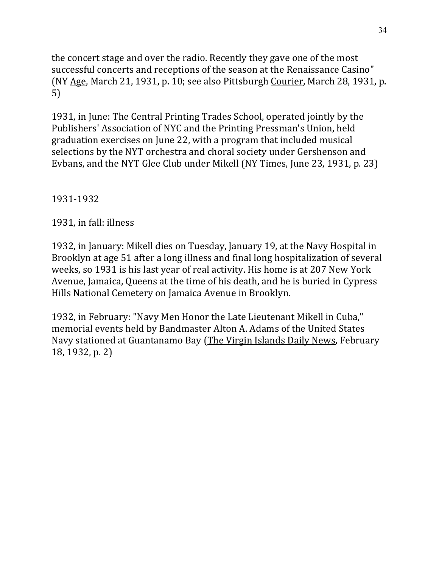the concert stage and over the radio. Recently they gave one of the most successful concerts and receptions of the season at the Renaissance Casino" (NY Age, March 21, 1931, p. 10; see also Pittsburgh Courier, March 28, 1931, p. 5)

1931, in June: The Central Printing Trades School, operated jointly by the Publishers' Association of NYC and the Printing Pressman's Union, held graduation exercises on June 22, with a program that included musical selections by the NYT orchestra and choral society under Gershenson and Evbans, and the NYT Glee Club under Mikell (NY Times, June 23, 1931, p. 23)

1931-1932

1931, in fall: illness

1932, in January: Mikell dies on Tuesday, January 19, at the Navy Hospital in Brooklyn at age 51 after a long illness and final long hospitalization of several weeks, so 1931 is his last year of real activity. His home is at 207 New York Avenue, Jamaica, Queens at the time of his death, and he is buried in Cypress Hills National Cemetery on Jamaica Avenue in Brooklyn.

1932, in February: "Navy Men Honor the Late Lieutenant Mikell in Cuba," memorial events held by Bandmaster Alton A. Adams of the United States Navy stationed at Guantanamo Bay (The Virgin Islands Daily News, February 18, 1932, p. 2)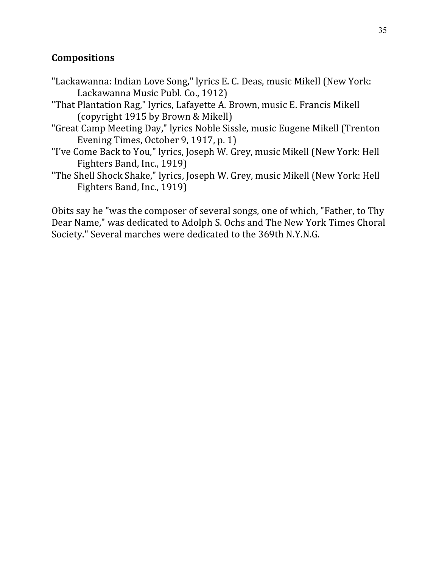## **Compositions**

- "Lackawanna: Indian Love Song," lyrics E. C. Deas, music Mikell (New York: Lackawanna Music Publ. Co., 1912)
- "That Plantation Rag," lyrics, Lafayette A. Brown, music E. Francis Mikell (copyright 1915 by Brown & Mikell)
- "Great Camp Meeting Day," lyrics Noble Sissle, music Eugene Mikell (Trenton Evening Times, October 9, 1917, p. 1)
- "I've Come Back to You," lyrics, Joseph W. Grey, music Mikell (New York: Hell Fighters Band, Inc., 1919)
- "The Shell Shock Shake," lyrics, Joseph W. Grey, music Mikell (New York: Hell Fighters Band, Inc., 1919)

Obits say he "was the composer of several songs, one of which, "Father, to Thy Dear Name," was dedicated to Adolph S. Ochs and The New York Times Choral Society." Several marches were dedicated to the 369th N.Y.N.G.